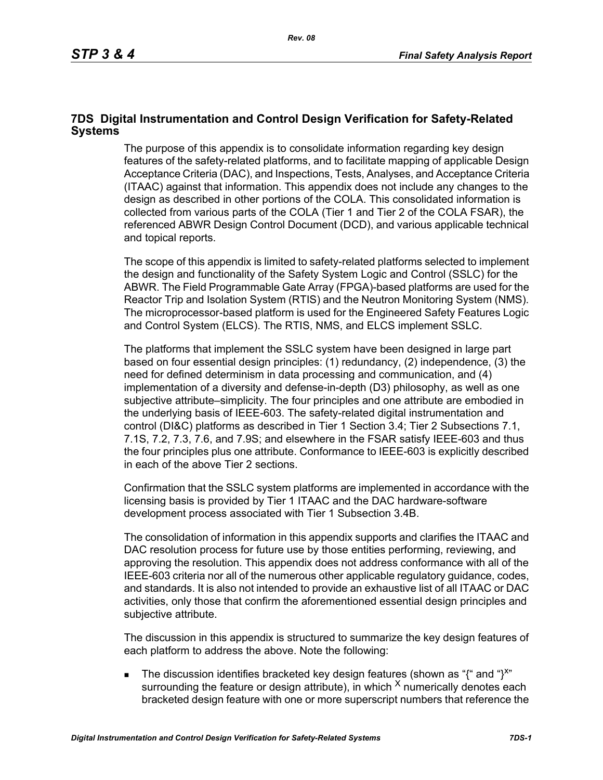## **7DS Digital Instrumentation and Control Design Verification for Safety-Related Systems**

The purpose of this appendix is to consolidate information regarding key design features of the safety-related platforms, and to facilitate mapping of applicable Design Acceptance Criteria (DAC), and Inspections, Tests, Analyses, and Acceptance Criteria (ITAAC) against that information. This appendix does not include any changes to the design as described in other portions of the COLA. This consolidated information is collected from various parts of the COLA (Tier 1 and Tier 2 of the COLA FSAR), the referenced ABWR Design Control Document (DCD), and various applicable technical and topical reports.

The scope of this appendix is limited to safety-related platforms selected to implement the design and functionality of the Safety System Logic and Control (SSLC) for the ABWR. The Field Programmable Gate Array (FPGA)-based platforms are used for the Reactor Trip and Isolation System (RTIS) and the Neutron Monitoring System (NMS). The microprocessor-based platform is used for the Engineered Safety Features Logic and Control System (ELCS). The RTIS, NMS, and ELCS implement SSLC.

The platforms that implement the SSLC system have been designed in large part based on four essential design principles: (1) redundancy, (2) independence, (3) the need for defined determinism in data processing and communication, and (4) implementation of a diversity and defense-in-depth (D3) philosophy, as well as one subjective attribute–simplicity. The four principles and one attribute are embodied in the underlying basis of IEEE-603. The safety-related digital instrumentation and control (DI&C) platforms as described in Tier 1 Section 3.4; Tier 2 Subsections 7.1, 7.1S, 7.2, 7.3, 7.6, and 7.9S; and elsewhere in the FSAR satisfy IEEE-603 and thus the four principles plus one attribute. Conformance to IEEE-603 is explicitly described in each of the above Tier 2 sections.

Confirmation that the SSLC system platforms are implemented in accordance with the licensing basis is provided by Tier 1 ITAAC and the DAC hardware-software development process associated with Tier 1 Subsection 3.4B.

The consolidation of information in this appendix supports and clarifies the ITAAC and DAC resolution process for future use by those entities performing, reviewing, and approving the resolution. This appendix does not address conformance with all of the IEEE-603 criteria nor all of the numerous other applicable regulatory guidance, codes, and standards. It is also not intended to provide an exhaustive list of all ITAAC or DAC activities, only those that confirm the aforementioned essential design principles and subjective attribute.

The discussion in this appendix is structured to summarize the key design features of each platform to address the above. Note the following:

The discussion identifies bracketed key design features (shown as "{" and "}<sup>x"</sup> surrounding the feature or design attribute), in which  $^{\chi}$  numerically denotes each bracketed design feature with one or more superscript numbers that reference the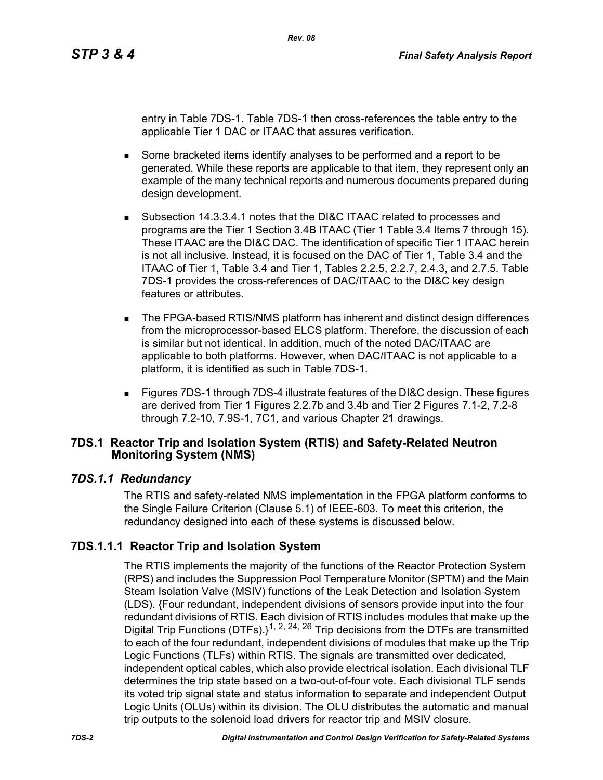entry in Table 7DS-1. Table 7DS-1 then cross-references the table entry to the applicable Tier 1 DAC or ITAAC that assures verification.

- Some bracketed items identify analyses to be performed and a report to be generated. While these reports are applicable to that item, they represent only an example of the many technical reports and numerous documents prepared during design development.
- Subsection 14.3.3.4.1 notes that the DI&C ITAAC related to processes and programs are the Tier 1 Section 3.4B ITAAC (Tier 1 Table 3.4 Items 7 through 15). These ITAAC are the DI&C DAC. The identification of specific Tier 1 ITAAC herein is not all inclusive. Instead, it is focused on the DAC of Tier 1, Table 3.4 and the ITAAC of Tier 1, Table 3.4 and Tier 1, Tables 2.2.5, 2.2.7, 2.4.3, and 2.7.5. Table 7DS-1 provides the cross-references of DAC/ITAAC to the DI&C key design features or attributes.
- The FPGA-based RTIS/NMS platform has inherent and distinct design differences from the microprocessor-based ELCS platform. Therefore, the discussion of each is similar but not identical. In addition, much of the noted DAC/ITAAC are applicable to both platforms. However, when DAC/ITAAC is not applicable to a platform, it is identified as such in Table 7DS-1.
- Figures 7DS-1 through 7DS-4 illustrate features of the DI&C design. These figures are derived from Tier 1 Figures 2.2.7b and 3.4b and Tier 2 Figures 7.1-2, 7.2-8 through 7.2-10, 7.9S-1, 7C1, and various Chapter 21 drawings.

### **7DS.1 Reactor Trip and Isolation System (RTIS) and Safety-Related Neutron Monitoring System (NMS)**

# *7DS.1.1 Redundancy*

The RTIS and safety-related NMS implementation in the FPGA platform conforms to the Single Failure Criterion (Clause 5.1) of IEEE-603. To meet this criterion, the redundancy designed into each of these systems is discussed below.

# **7DS.1.1.1 Reactor Trip and Isolation System**

The RTIS implements the majority of the functions of the Reactor Protection System (RPS) and includes the Suppression Pool Temperature Monitor (SPTM) and the Main Steam Isolation Valve (MSIV) functions of the Leak Detection and Isolation System (LDS). {Four redundant, independent divisions of sensors provide input into the four redundant divisions of RTIS. Each division of RTIS includes modules that make up the Digital Trip Functions (DTFs).}<sup>1, 2, 24, 26</sup> Trip decisions from the DTFs are transmitted to each of the four redundant, independent divisions of modules that make up the Trip Logic Functions (TLFs) within RTIS. The signals are transmitted over dedicated, independent optical cables, which also provide electrical isolation. Each divisional TLF determines the trip state based on a two-out-of-four vote. Each divisional TLF sends its voted trip signal state and status information to separate and independent Output Logic Units (OLUs) within its division. The OLU distributes the automatic and manual trip outputs to the solenoid load drivers for reactor trip and MSIV closure.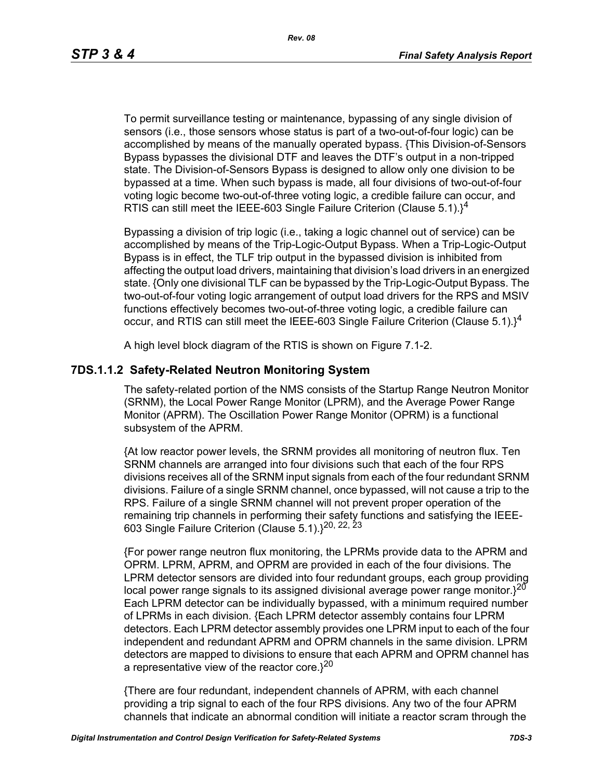*Rev. 08*

To permit surveillance testing or maintenance, bypassing of any single division of sensors (i.e., those sensors whose status is part of a two-out-of-four logic) can be accomplished by means of the manually operated bypass. {This Division-of-Sensors Bypass bypasses the divisional DTF and leaves the DTF's output in a non-tripped state. The Division-of-Sensors Bypass is designed to allow only one division to be bypassed at a time. When such bypass is made, all four divisions of two-out-of-four voting logic become two-out-of-three voting logic, a credible failure can occur, and RTIS can still meet the IEEE-603 Single Failure Criterion (Clause  $5.1$ ).<sup>14</sup>

Bypassing a division of trip logic (i.e., taking a logic channel out of service) can be accomplished by means of the Trip-Logic-Output Bypass. When a Trip-Logic-Output Bypass is in effect, the TLF trip output in the bypassed division is inhibited from affecting the output load drivers, maintaining that division's load drivers in an energized state. {Only one divisional TLF can be bypassed by the Trip-Logic-Output Bypass. The two-out-of-four voting logic arrangement of output load drivers for the RPS and MSIV functions effectively becomes two-out-of-three voting logic, a credible failure can occur, and RTIS can still meet the IEEE-603 Single Failure Criterion (Clause 5.1). $1^4$ 

A high level block diagram of the RTIS is shown on Figure 7.1-2.

# **7DS.1.1.2 Safety-Related Neutron Monitoring System**

The safety-related portion of the NMS consists of the Startup Range Neutron Monitor (SRNM), the Local Power Range Monitor (LPRM), and the Average Power Range Monitor (APRM). The Oscillation Power Range Monitor (OPRM) is a functional subsystem of the APRM.

{At low reactor power levels, the SRNM provides all monitoring of neutron flux. Ten SRNM channels are arranged into four divisions such that each of the four RPS divisions receives all of the SRNM input signals from each of the four redundant SRNM divisions. Failure of a single SRNM channel, once bypassed, will not cause a trip to the RPS. Failure of a single SRNM channel will not prevent proper operation of the remaining trip channels in performing their safety functions and satisfying the IEEE-603 Single Failure Criterion (Clause 5.1).}20, 22, 23

{For power range neutron flux monitoring, the LPRMs provide data to the APRM and OPRM. LPRM, APRM, and OPRM are provided in each of the four divisions. The LPRM detector sensors are divided into four redundant groups, each group providing local power range signals to its assigned divisional average power range monitor. $3^{20}$ Each LPRM detector can be individually bypassed, with a minimum required number of LPRMs in each division. {Each LPRM detector assembly contains four LPRM detectors. Each LPRM detector assembly provides one LPRM input to each of the four independent and redundant APRM and OPRM channels in the same division. LPRM detectors are mapped to divisions to ensure that each APRM and OPRM channel has a representative view of the reactor core. $3^{20}$ 

{There are four redundant, independent channels of APRM, with each channel providing a trip signal to each of the four RPS divisions. Any two of the four APRM channels that indicate an abnormal condition will initiate a reactor scram through the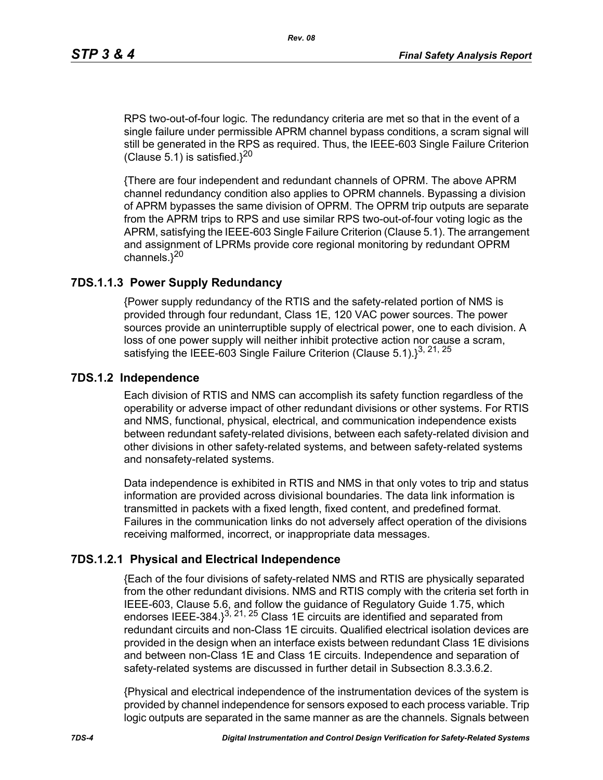RPS two-out-of-four logic. The redundancy criteria are met so that in the event of a single failure under permissible APRM channel bypass conditions, a scram signal will still be generated in the RPS as required. Thus, the IEEE-603 Single Failure Criterion (Clause 5.1) is satisfied. $3^{20}$ 

{There are four independent and redundant channels of OPRM. The above APRM channel redundancy condition also applies to OPRM channels. Bypassing a division of APRM bypasses the same division of OPRM. The OPRM trip outputs are separate from the APRM trips to RPS and use similar RPS two-out-of-four voting logic as the APRM, satisfying the IEEE-603 Single Failure Criterion (Clause 5.1). The arrangement and assignment of LPRMs provide core regional monitoring by redundant OPRM channels. $3^{20}$ 

### **7DS.1.1.3 Power Supply Redundancy**

{Power supply redundancy of the RTIS and the safety-related portion of NMS is provided through four redundant, Class 1E, 120 VAC power sources. The power sources provide an uninterruptible supply of electrical power, one to each division. A loss of one power supply will neither inhibit protective action nor cause a scram, satisfying the IEEE-603 Single Failure Criterion (Clause 5.1). $3^{3, 21, 25}$ 

#### **7DS.1.2 Independence**

Each division of RTIS and NMS can accomplish its safety function regardless of the operability or adverse impact of other redundant divisions or other systems. For RTIS and NMS, functional, physical, electrical, and communication independence exists between redundant safety-related divisions, between each safety-related division and other divisions in other safety-related systems, and between safety-related systems and nonsafety-related systems.

Data independence is exhibited in RTIS and NMS in that only votes to trip and status information are provided across divisional boundaries. The data link information is transmitted in packets with a fixed length, fixed content, and predefined format. Failures in the communication links do not adversely affect operation of the divisions receiving malformed, incorrect, or inappropriate data messages.

### **7DS.1.2.1 Physical and Electrical Independence**

{Each of the four divisions of safety-related NMS and RTIS are physically separated from the other redundant divisions. NMS and RTIS comply with the criteria set forth in IEEE-603, Clause 5.6, and follow the guidance of Regulatory Guide 1.75, which endorses IEEE-384. $3^{3, 21, 25}$  Class 1E circuits are identified and separated from redundant circuits and non-Class 1E circuits. Qualified electrical isolation devices are provided in the design when an interface exists between redundant Class 1E divisions and between non-Class 1E and Class 1E circuits. Independence and separation of safety-related systems are discussed in further detail in Subsection 8.3.3.6.2.

{Physical and electrical independence of the instrumentation devices of the system is provided by channel independence for sensors exposed to each process variable. Trip logic outputs are separated in the same manner as are the channels. Signals between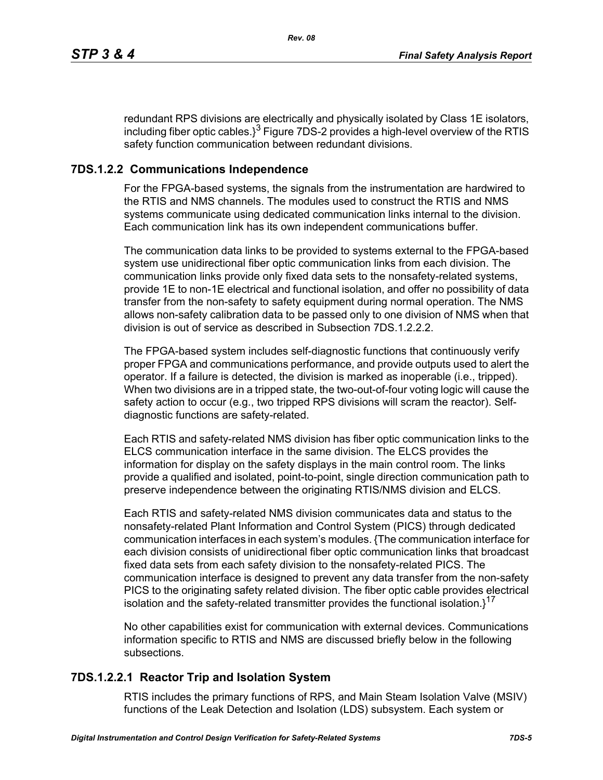redundant RPS divisions are electrically and physically isolated by Class 1E isolators, including fiber optic cables. $3^3$  Figure 7DS-2 provides a high-level overview of the RTIS safety function communication between redundant divisions.

# **7DS.1.2.2 Communications Independence**

For the FPGA-based systems, the signals from the instrumentation are hardwired to the RTIS and NMS channels. The modules used to construct the RTIS and NMS systems communicate using dedicated communication links internal to the division. Each communication link has its own independent communications buffer.

The communication data links to be provided to systems external to the FPGA-based system use unidirectional fiber optic communication links from each division. The communication links provide only fixed data sets to the nonsafety-related systems, provide 1E to non-1E electrical and functional isolation, and offer no possibility of data transfer from the non-safety to safety equipment during normal operation. The NMS allows non-safety calibration data to be passed only to one division of NMS when that division is out of service as described in Subsection 7DS 1.2.2.2.

The FPGA-based system includes self-diagnostic functions that continuously verify proper FPGA and communications performance, and provide outputs used to alert the operator. If a failure is detected, the division is marked as inoperable (i.e., tripped). When two divisions are in a tripped state, the two-out-of-four voting logic will cause the safety action to occur (e.g., two tripped RPS divisions will scram the reactor). Selfdiagnostic functions are safety-related.

Each RTIS and safety-related NMS division has fiber optic communication links to the ELCS communication interface in the same division. The ELCS provides the information for display on the safety displays in the main control room. The links provide a qualified and isolated, point-to-point, single direction communication path to preserve independence between the originating RTIS/NMS division and ELCS.

Each RTIS and safety-related NMS division communicates data and status to the nonsafety-related Plant Information and Control System (PICS) through dedicated communication interfaces in each system's modules. {The communication interface for each division consists of unidirectional fiber optic communication links that broadcast fixed data sets from each safety division to the nonsafety-related PICS. The communication interface is designed to prevent any data transfer from the non-safety PICS to the originating safety related division. The fiber optic cable provides electrical isolation and the safety-related transmitter provides the functional isolation. $1^{17}$ 

No other capabilities exist for communication with external devices. Communications information specific to RTIS and NMS are discussed briefly below in the following subsections.

# **7DS.1.2.2.1 Reactor Trip and Isolation System**

RTIS includes the primary functions of RPS, and Main Steam Isolation Valve (MSIV) functions of the Leak Detection and Isolation (LDS) subsystem. Each system or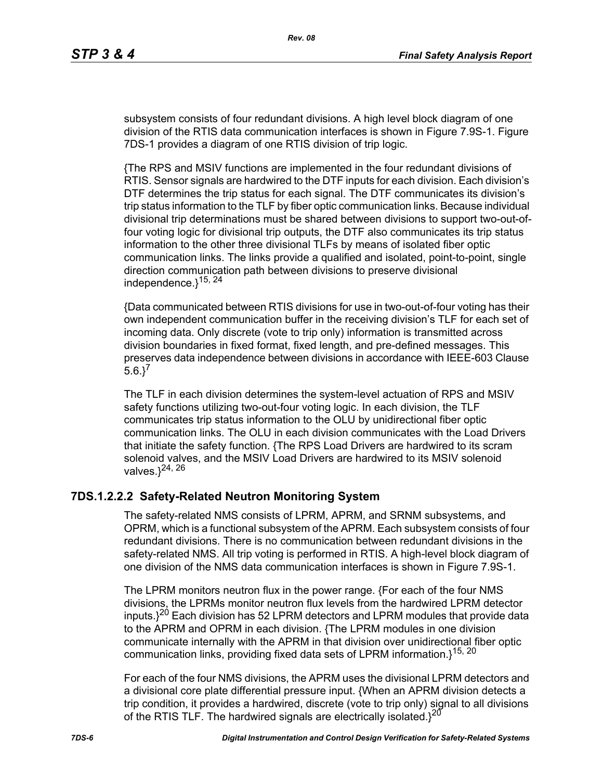subsystem consists of four redundant divisions. A high level block diagram of one division of the RTIS data communication interfaces is shown in Figure 7.9S-1. Figure 7DS-1 provides a diagram of one RTIS division of trip logic.

{The RPS and MSIV functions are implemented in the four redundant divisions of RTIS. Sensor signals are hardwired to the DTF inputs for each division. Each division's DTF determines the trip status for each signal. The DTF communicates its division's trip status information to the TLF by fiber optic communication links. Because individual divisional trip determinations must be shared between divisions to support two-out-offour voting logic for divisional trip outputs, the DTF also communicates its trip status information to the other three divisional TLFs by means of isolated fiber optic communication links. The links provide a qualified and isolated, point-to-point, single direction communication path between divisions to preserve divisional independence. $3^{15, 24}$ 

{Data communicated between RTIS divisions for use in two-out-of-four voting has their own independent communication buffer in the receiving division's TLF for each set of incoming data. Only discrete (vote to trip only) information is transmitted across division boundaries in fixed format, fixed length, and pre-defined messages. This preserves data independence between divisions in accordance with IEEE-603 Clause  $5.6.$ <sup>7</sup>

The TLF in each division determines the system-level actuation of RPS and MSIV safety functions utilizing two-out-four voting logic. In each division, the TLF communicates trip status information to the OLU by unidirectional fiber optic communication links. The OLU in each division communicates with the Load Drivers that initiate the safety function. {The RPS Load Drivers are hardwired to its scram solenoid valves, and the MSIV Load Drivers are hardwired to its MSIV solenoid valves. $3^{24, 26}$ 

### **7DS.1.2.2.2 Safety-Related Neutron Monitoring System**

The safety-related NMS consists of LPRM, APRM, and SRNM subsystems, and OPRM, which is a functional subsystem of the APRM. Each subsystem consists of four redundant divisions. There is no communication between redundant divisions in the safety-related NMS. All trip voting is performed in RTIS. A high-level block diagram of one division of the NMS data communication interfaces is shown in Figure 7.9S-1.

The LPRM monitors neutron flux in the power range. {For each of the four NMS divisions, the LPRMs monitor neutron flux levels from the hardwired LPRM detector inputs. $3^{20}$  Each division has 52 LPRM detectors and LPRM modules that provide data to the APRM and OPRM in each division. {The LPRM modules in one division communicate internally with the APRM in that division over unidirectional fiber optic communication links, providing fixed data sets of LPRM information.}<sup>15, 20</sup>

For each of the four NMS divisions, the APRM uses the divisional LPRM detectors and a divisional core plate differential pressure input. {When an APRM division detects a trip condition, it provides a hardwired, discrete (vote to trip only) signal to all divisions of the RTIS TLF. The hardwired signals are electrically isolated. $3^{20}$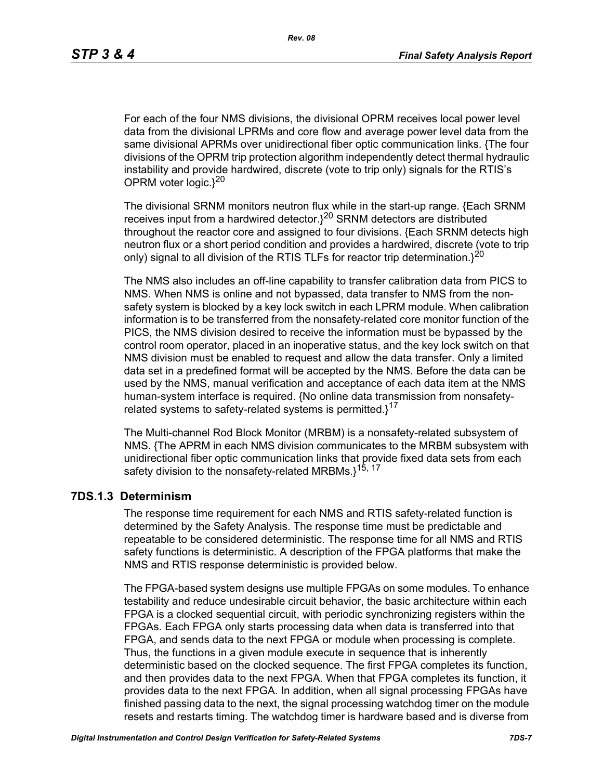For each of the four NMS divisions, the divisional OPRM receives local power level data from the divisional LPRMs and core flow and average power level data from the same divisional APRMs over unidirectional fiber optic communication links. {The four divisions of the OPRM trip protection algorithm independently detect thermal hydraulic instability and provide hardwired, discrete (vote to trip only) signals for the RTIS's OPRM voter logic. $3^{20}$ 

The divisional SRNM monitors neutron flux while in the start-up range. {Each SRNM receives input from a hardwired detector.}20 SRNM detectors are distributed throughout the reactor core and assigned to four divisions. {Each SRNM detects high neutron flux or a short period condition and provides a hardwired, discrete (vote to trip only) signal to all division of the RTIS TLFs for reactor trip determination. $3^{20}$ 

The NMS also includes an off-line capability to transfer calibration data from PICS to NMS. When NMS is online and not bypassed, data transfer to NMS from the nonsafety system is blocked by a key lock switch in each LPRM module. When calibration information is to be transferred from the nonsafety-related core monitor function of the PICS, the NMS division desired to receive the information must be bypassed by the control room operator, placed in an inoperative status, and the key lock switch on that NMS division must be enabled to request and allow the data transfer. Only a limited data set in a predefined format will be accepted by the NMS. Before the data can be used by the NMS, manual verification and acceptance of each data item at the NMS human-system interface is required. {No online data transmission from nonsafetyrelated systems to safety-related systems is permitted. $1^{17}$ 

The Multi-channel Rod Block Monitor (MRBM) is a nonsafety-related subsystem of NMS. {The APRM in each NMS division communicates to the MRBM subsystem with unidirectional fiber optic communication links that provide fixed data sets from each safety division to the nonsafety-related MRBMs.}<sup>15, 17</sup>

### **7DS.1.3 Determinism**

The response time requirement for each NMS and RTIS safety-related function is determined by the Safety Analysis. The response time must be predictable and repeatable to be considered deterministic. The response time for all NMS and RTIS safety functions is deterministic. A description of the FPGA platforms that make the NMS and RTIS response deterministic is provided below.

The FPGA-based system designs use multiple FPGAs on some modules. To enhance testability and reduce undesirable circuit behavior, the basic architecture within each FPGA is a clocked sequential circuit, with periodic synchronizing registers within the FPGAs. Each FPGA only starts processing data when data is transferred into that FPGA, and sends data to the next FPGA or module when processing is complete. Thus, the functions in a given module execute in sequence that is inherently deterministic based on the clocked sequence. The first FPGA completes its function, and then provides data to the next FPGA. When that FPGA completes its function, it provides data to the next FPGA. In addition, when all signal processing FPGAs have finished passing data to the next, the signal processing watchdog timer on the module resets and restarts timing. The watchdog timer is hardware based and is diverse from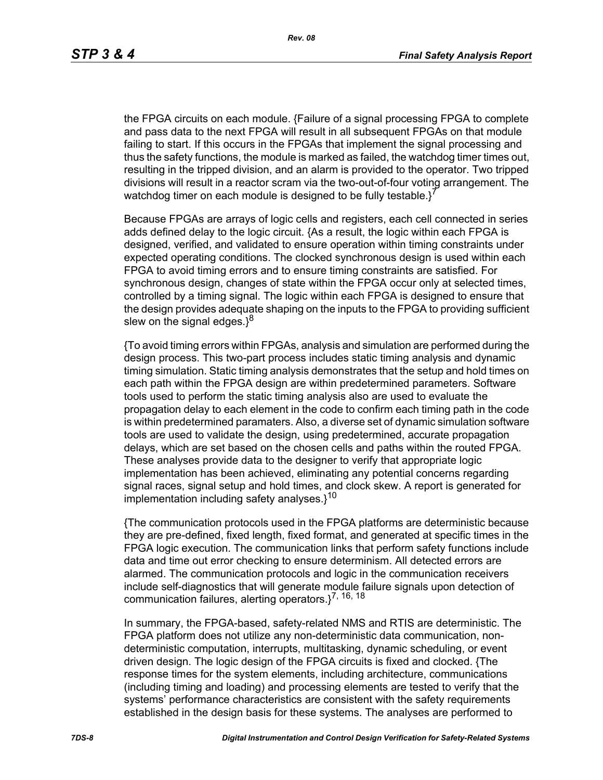the FPGA circuits on each module. {Failure of a signal processing FPGA to complete and pass data to the next FPGA will result in all subsequent FPGAs on that module failing to start. If this occurs in the FPGAs that implement the signal processing and thus the safety functions, the module is marked as failed, the watchdog timer times out, resulting in the tripped division, and an alarm is provided to the operator. Two tripped divisions will result in a reactor scram via the two-out-of-four voting arrangement. The watchdog timer on each module is designed to be fully testable. $i^7$ 

Because FPGAs are arrays of logic cells and registers, each cell connected in series adds defined delay to the logic circuit. {As a result, the logic within each FPGA is designed, verified, and validated to ensure operation within timing constraints under expected operating conditions. The clocked synchronous design is used within each FPGA to avoid timing errors and to ensure timing constraints are satisfied. For synchronous design, changes of state within the FPGA occur only at selected times, controlled by a timing signal. The logic within each FPGA is designed to ensure that the design provides adequate shaping on the inputs to the FPGA to providing sufficient slew on the signal edges. $3^8$ 

{To avoid timing errors within FPGAs, analysis and simulation are performed during the design process. This two-part process includes static timing analysis and dynamic timing simulation. Static timing analysis demonstrates that the setup and hold times on each path within the FPGA design are within predetermined parameters. Software tools used to perform the static timing analysis also are used to evaluate the propagation delay to each element in the code to confirm each timing path in the code is within predetermined paramaters. Also, a diverse set of dynamic simulation software tools are used to validate the design, using predetermined, accurate propagation delays, which are set based on the chosen cells and paths within the routed FPGA. These analyses provide data to the designer to verify that appropriate logic implementation has been achieved, eliminating any potential concerns regarding signal races, signal setup and hold times, and clock skew. A report is generated for implementation including safety analyses. $1^{10}$ 

{The communication protocols used in the FPGA platforms are deterministic because they are pre-defined, fixed length, fixed format, and generated at specific times in the FPGA logic execution. The communication links that perform safety functions include data and time out error checking to ensure determinism. All detected errors are alarmed. The communication protocols and logic in the communication receivers include self-diagnostics that will generate module failure signals upon detection of communication failures, alerting operators. $3^{7, 16, 18}$ 

In summary, the FPGA-based, safety-related NMS and RTIS are deterministic. The FPGA platform does not utilize any non-deterministic data communication, nondeterministic computation, interrupts, multitasking, dynamic scheduling, or event driven design. The logic design of the FPGA circuits is fixed and clocked. {The response times for the system elements, including architecture, communications (including timing and loading) and processing elements are tested to verify that the systems' performance characteristics are consistent with the safety requirements established in the design basis for these systems. The analyses are performed to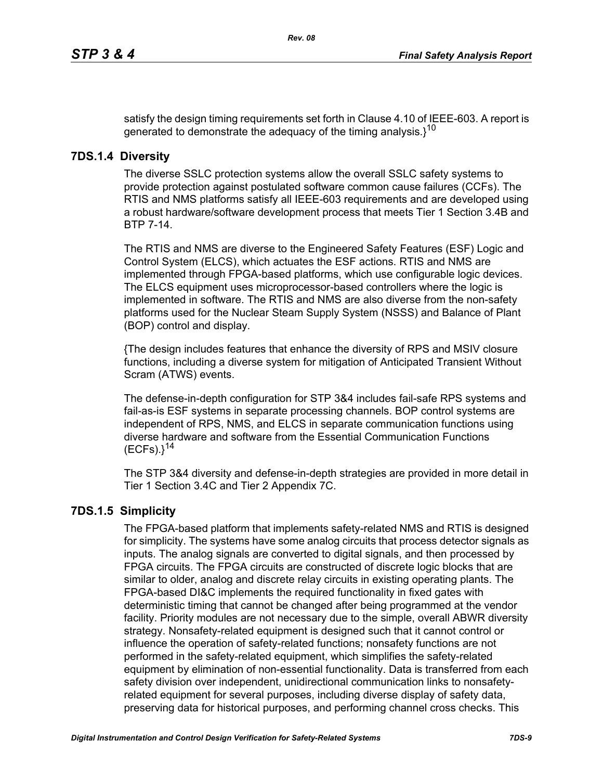satisfy the design timing requirements set forth in Clause 4.10 of IEEE-603. A report is generated to demonstrate the adequacy of the timing analysis. $3^{10}$ 

## **7DS.1.4 Diversity**

The diverse SSLC protection systems allow the overall SSLC safety systems to provide protection against postulated software common cause failures (CCFs). The RTIS and NMS platforms satisfy all IEEE-603 requirements and are developed using a robust hardware/software development process that meets Tier 1 Section 3.4B and BTP 7-14.

The RTIS and NMS are diverse to the Engineered Safety Features (ESF) Logic and Control System (ELCS), which actuates the ESF actions. RTIS and NMS are implemented through FPGA-based platforms, which use configurable logic devices. The ELCS equipment uses microprocessor-based controllers where the logic is implemented in software. The RTIS and NMS are also diverse from the non-safety platforms used for the Nuclear Steam Supply System (NSSS) and Balance of Plant (BOP) control and display.

{The design includes features that enhance the diversity of RPS and MSIV closure functions, including a diverse system for mitigation of Anticipated Transient Without Scram (ATWS) events.

The defense-in-depth configuration for STP 3&4 includes fail-safe RPS systems and fail-as-is ESF systems in separate processing channels. BOP control systems are independent of RPS, NMS, and ELCS in separate communication functions using diverse hardware and software from the Essential Communication Functions  $(ECFs).$ <sup>14</sup>

The STP 3&4 diversity and defense-in-depth strategies are provided in more detail in Tier 1 Section 3.4C and Tier 2 Appendix 7C.

# **7DS.1.5 Simplicity**

The FPGA-based platform that implements safety-related NMS and RTIS is designed for simplicity. The systems have some analog circuits that process detector signals as inputs. The analog signals are converted to digital signals, and then processed by FPGA circuits. The FPGA circuits are constructed of discrete logic blocks that are similar to older, analog and discrete relay circuits in existing operating plants. The FPGA-based DI&C implements the required functionality in fixed gates with deterministic timing that cannot be changed after being programmed at the vendor facility. Priority modules are not necessary due to the simple, overall ABWR diversity strategy. Nonsafety-related equipment is designed such that it cannot control or influence the operation of safety-related functions; nonsafety functions are not performed in the safety-related equipment, which simplifies the safety-related equipment by elimination of non-essential functionality. Data is transferred from each safety division over independent, unidirectional communication links to nonsafetyrelated equipment for several purposes, including diverse display of safety data, preserving data for historical purposes, and performing channel cross checks. This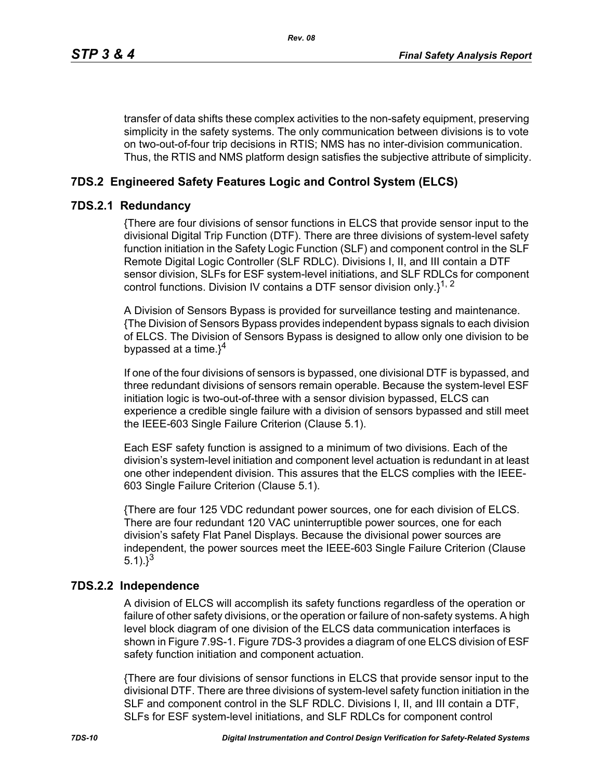transfer of data shifts these complex activities to the non-safety equipment, preserving simplicity in the safety systems. The only communication between divisions is to vote on two-out-of-four trip decisions in RTIS; NMS has no inter-division communication. Thus, the RTIS and NMS platform design satisfies the subjective attribute of simplicity.

# **7DS.2 Engineered Safety Features Logic and Control System (ELCS)**

### **7DS.2.1 Redundancy**

{There are four divisions of sensor functions in ELCS that provide sensor input to the divisional Digital Trip Function (DTF). There are three divisions of system-level safety function initiation in the Safety Logic Function (SLF) and component control in the SLF Remote Digital Logic Controller (SLF RDLC). Divisions I, II, and III contain a DTF sensor division, SLFs for ESF system-level initiations, and SLF RDLCs for component control functions. Division IV contains a DTF sensor division only. $1^{1, 2}$ 

A Division of Sensors Bypass is provided for surveillance testing and maintenance. {The Division of Sensors Bypass provides independent bypass signals to each division of ELCS. The Division of Sensors Bypass is designed to allow only one division to be bypassed at a time. $3^4$ 

If one of the four divisions of sensors is bypassed, one divisional DTF is bypassed, and three redundant divisions of sensors remain operable. Because the system-level ESF initiation logic is two-out-of-three with a sensor division bypassed, ELCS can experience a credible single failure with a division of sensors bypassed and still meet the IEEE-603 Single Failure Criterion (Clause 5.1).

Each ESF safety function is assigned to a minimum of two divisions. Each of the division's system-level initiation and component level actuation is redundant in at least one other independent division. This assures that the ELCS complies with the IEEE-603 Single Failure Criterion (Clause 5.1).

{There are four 125 VDC redundant power sources, one for each division of ELCS. There are four redundant 120 VAC uninterruptible power sources, one for each division's safety Flat Panel Displays. Because the divisional power sources are independent, the power sources meet the IEEE-603 Single Failure Criterion (Clause 5.1). $3^{3}$ 

# **7DS.2.2 Independence**

A division of ELCS will accomplish its safety functions regardless of the operation or failure of other safety divisions, or the operation or failure of non-safety systems. A high level block diagram of one division of the ELCS data communication interfaces is shown in Figure 7.9S-1. Figure 7DS-3 provides a diagram of one ELCS division of ESF safety function initiation and component actuation.

{There are four divisions of sensor functions in ELCS that provide sensor input to the divisional DTF. There are three divisions of system-level safety function initiation in the SLF and component control in the SLF RDLC. Divisions I, II, and III contain a DTF, SLFs for ESF system-level initiations, and SLF RDLCs for component control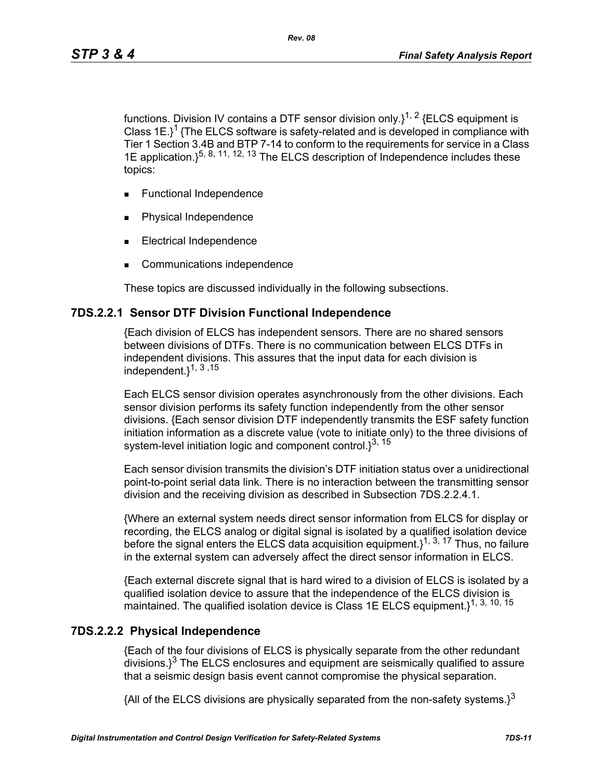functions. Division IV contains a DTF sensor division only. $1^{1, 2}$  {ELCS equipment is Class  $1E$ <sup>1</sup> {The ELCS software is safety-related and is developed in compliance with Tier 1 Section 3.4B and BTP 7-14 to conform to the requirements for service in a Class 1E application.  $\xi^{5, 8, 11, 12, 13}$  The ELCS description of Independence includes these topics:

- **Functional Independence**
- Physical Independence
- Electrical Independence
- Communications independence

These topics are discussed individually in the following subsections.

#### **7DS.2.2.1 Sensor DTF Division Functional Independence**

{Each division of ELCS has independent sensors. There are no shared sensors between divisions of DTFs. There is no communication between ELCS DTFs in independent divisions. This assures that the input data for each division is independent.}1, 3 ,15

Each ELCS sensor division operates asynchronously from the other divisions. Each sensor division performs its safety function independently from the other sensor divisions. {Each sensor division DTF independently transmits the ESF safety function initiation information as a discrete value (vote to initiate only) to the three divisions of system-level initiation logic and component control. $3^{3, 15}$ 

Each sensor division transmits the division's DTF initiation status over a unidirectional point-to-point serial data link. There is no interaction between the transmitting sensor division and the receiving division as described in Subsection 7DS.2.2.4.1.

{Where an external system needs direct sensor information from ELCS for display or recording, the ELCS analog or digital signal is isolated by a qualified isolation device before the signal enters the ELCS data acquisition equipment.  $1^{1, 3, 17}$  Thus, no failure in the external system can adversely affect the direct sensor information in ELCS.

{Each external discrete signal that is hard wired to a division of ELCS is isolated by a qualified isolation device to assure that the independence of the ELCS division is maintained. The qualified isolation device is Class 1E ELCS equipment.<sup>1, 3, 10, 15</sup>

#### **7DS.2.2.2 Physical Independence**

{Each of the four divisions of ELCS is physically separate from the other redundant  $\frac{1}{3}$  The ELCS enclosures and equipment are seismically qualified to assure that a seismic design basis event cannot compromise the physical separation.

{All of the ELCS divisions are physically separated from the non-safety systems.}<sup>3</sup>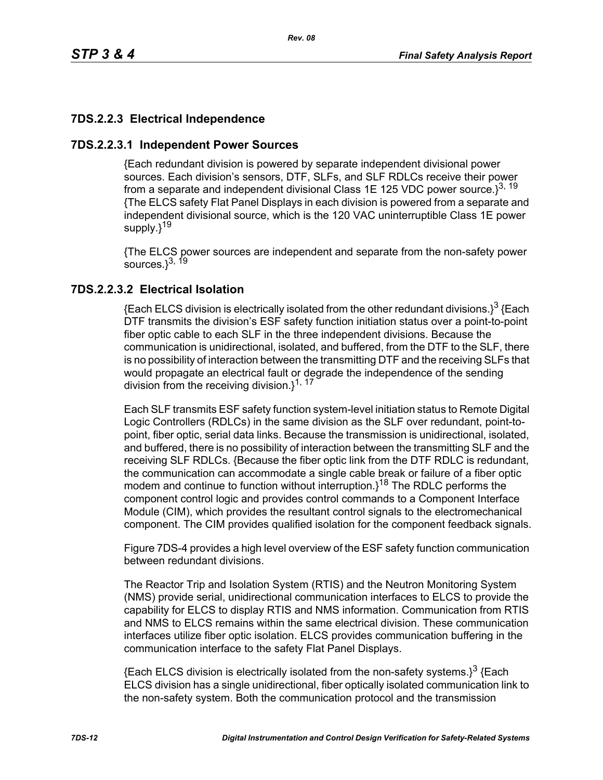# **7DS.2.2.3 Electrical Independence**

## **7DS.2.2.3.1 Independent Power Sources**

{Each redundant division is powered by separate independent divisional power sources. Each division's sensors, DTF, SLFs, and SLF RDLCs receive their power from a separate and independent divisional Class 1E 125 VDC power source. $3^{3, 19}$ {The ELCS safety Flat Panel Displays in each division is powered from a separate and independent divisional source, which is the 120 VAC uninterruptible Class 1E power supply.}<sup>19</sup>

{The ELCS power sources are independent and separate from the non-safety power sources. $3^{3, 19}$ 

### **7DS.2.2.3.2 Electrical Isolation**

{Each ELCS division is electrically isolated from the other redundant divisions.}<sup>3</sup> {Each DTF transmits the division's ESF safety function initiation status over a point-to-point fiber optic cable to each SLF in the three independent divisions. Because the communication is unidirectional, isolated, and buffered, from the DTF to the SLF, there is no possibility of interaction between the transmitting DTF and the receiving SLFs that would propagate an electrical fault or degrade the independence of the sending division from the receiving division.}<sup>1, 17</sup>

Each SLF transmits ESF safety function system-level initiation status to Remote Digital Logic Controllers (RDLCs) in the same division as the SLF over redundant, point-topoint, fiber optic, serial data links. Because the transmission is unidirectional, isolated, and buffered, there is no possibility of interaction between the transmitting SLF and the receiving SLF RDLCs. {Because the fiber optic link from the DTF RDLC is redundant, the communication can accommodate a single cable break or failure of a fiber optic modem and continue to function without interruption. $3^{18}$  The RDLC performs the component control logic and provides control commands to a Component Interface Module (CIM), which provides the resultant control signals to the electromechanical component. The CIM provides qualified isolation for the component feedback signals.

Figure 7DS-4 provides a high level overview of the ESF safety function communication between redundant divisions.

The Reactor Trip and Isolation System (RTIS) and the Neutron Monitoring System (NMS) provide serial, unidirectional communication interfaces to ELCS to provide the capability for ELCS to display RTIS and NMS information. Communication from RTIS and NMS to ELCS remains within the same electrical division. These communication interfaces utilize fiber optic isolation. ELCS provides communication buffering in the communication interface to the safety Flat Panel Displays.

 ${Each ELCS}$  division is electrically isolated from the non-safety systems. $3^3$  {Each ELCS division has a single unidirectional, fiber optically isolated communication link to the non-safety system. Both the communication protocol and the transmission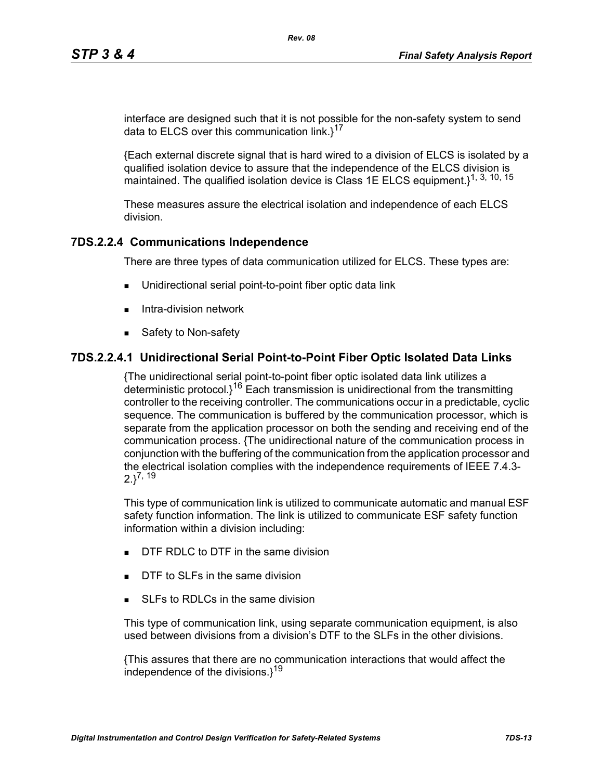interface are designed such that it is not possible for the non-safety system to send data to ELCS over this communication link. $1^{17}$ 

{Each external discrete signal that is hard wired to a division of ELCS is isolated by a qualified isolation device to assure that the independence of the ELCS division is maintained. The qualified isolation device is Class 1E ELCS equipment.}<sup>1, 3, 10, 15</sup>

These measures assure the electrical isolation and independence of each ELCS division.

# **7DS.2.2.4 Communications Independence**

There are three types of data communication utilized for ELCS. These types are:

- Unidirectional serial point-to-point fiber optic data link
- $\blacksquare$  Intra-division network
- Safety to Non-safety

### **7DS.2.2.4.1 Unidirectional Serial Point-to-Point Fiber Optic Isolated Data Links**

{The unidirectional serial point-to-point fiber optic isolated data link utilizes a deterministic protocol. $i^{16}$  Each transmission is unidirectional from the transmitting controller to the receiving controller. The communications occur in a predictable, cyclic sequence. The communication is buffered by the communication processor, which is separate from the application processor on both the sending and receiving end of the communication process. {The unidirectional nature of the communication process in conjunction with the buffering of the communication from the application processor and the electrical isolation complies with the independence requirements of IEEE 7.4.3-  $2.3^{7, 19}$ 

This type of communication link is utilized to communicate automatic and manual ESF safety function information. The link is utilized to communicate ESF safety function information within a division including:

- **DTF RDLC to DTF in the same division**
- DTF to SLFs in the same division
- SLEs to RDLCs in the same division

This type of communication link, using separate communication equipment, is also used between divisions from a division's DTF to the SLFs in the other divisions.

{This assures that there are no communication interactions that would affect the independence of the divisions. $1^{19}$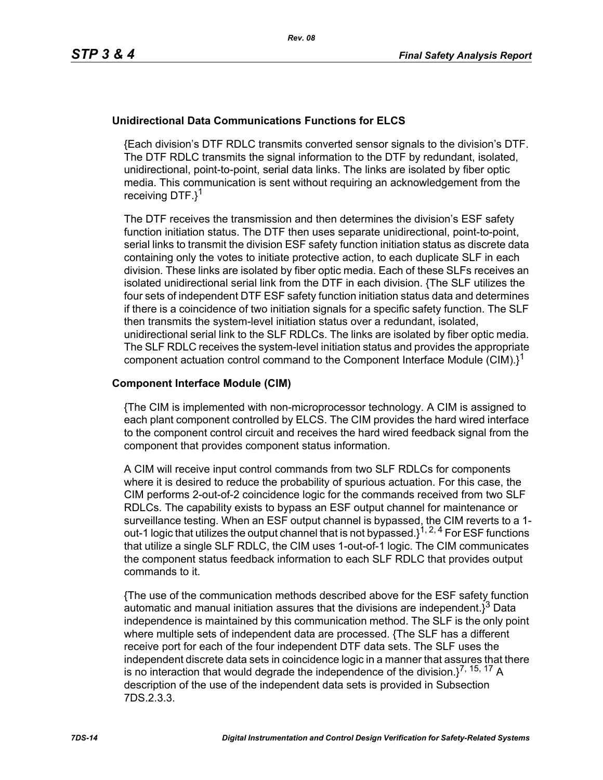### **Unidirectional Data Communications Functions for ELCS**

{Each division's DTF RDLC transmits converted sensor signals to the division's DTF. The DTF RDLC transmits the signal information to the DTF by redundant, isolated, unidirectional, point-to-point, serial data links. The links are isolated by fiber optic media. This communication is sent without requiring an acknowledgement from the receiving DTF.}<sup>1</sup>

The DTF receives the transmission and then determines the division's ESF safety function initiation status. The DTF then uses separate unidirectional, point-to-point, serial links to transmit the division ESF safety function initiation status as discrete data containing only the votes to initiate protective action, to each duplicate SLF in each division. These links are isolated by fiber optic media. Each of these SLFs receives an isolated unidirectional serial link from the DTF in each division. {The SLF utilizes the four sets of independent DTF ESF safety function initiation status data and determines if there is a coincidence of two initiation signals for a specific safety function. The SLF then transmits the system-level initiation status over a redundant, isolated, unidirectional serial link to the SLF RDLCs. The links are isolated by fiber optic media. The SLF RDLC receives the system-level initiation status and provides the appropriate component actuation control command to the Component Interface Module (CIM). $i^1$ 

#### **Component Interface Module (CIM)**

{The CIM is implemented with non-microprocessor technology. A CIM is assigned to each plant component controlled by ELCS. The CIM provides the hard wired interface to the component control circuit and receives the hard wired feedback signal from the component that provides component status information.

A CIM will receive input control commands from two SLF RDLCs for components where it is desired to reduce the probability of spurious actuation. For this case, the CIM performs 2-out-of-2 coincidence logic for the commands received from two SLF RDLCs. The capability exists to bypass an ESF output channel for maintenance or surveillance testing. When an ESF output channel is bypassed, the CIM reverts to a 1 out-1 logic that utilizes the output channel that is not bypassed.}1, 2, 4 For ESF functions that utilize a single SLF RDLC, the CIM uses 1-out-of-1 logic. The CIM communicates the component status feedback information to each SLF RDLC that provides output commands to it.

{The use of the communication methods described above for the ESF safety function automatic and manual initiation assures that the divisions are independent. $i^3$  Data independence is maintained by this communication method. The SLF is the only point where multiple sets of independent data are processed. {The SLF has a different receive port for each of the four independent DTF data sets. The SLF uses the independent discrete data sets in coincidence logic in a manner that assures that there is no interaction that would degrade the independence of the division. $1^{7, 15, 17}$  A description of the use of the independent data sets is provided in Subsection 7DS.2.3.3.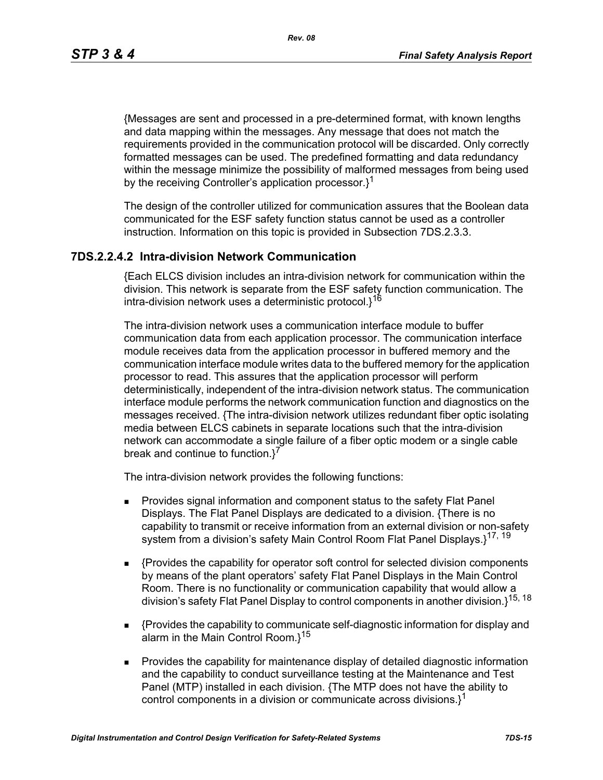*Rev. 08*

{Messages are sent and processed in a pre-determined format, with known lengths and data mapping within the messages. Any message that does not match the requirements provided in the communication protocol will be discarded. Only correctly formatted messages can be used. The predefined formatting and data redundancy within the message minimize the possibility of malformed messages from being used by the receiving Controller's application processor.<sup>1</sup>

The design of the controller utilized for communication assures that the Boolean data communicated for the ESF safety function status cannot be used as a controller instruction. Information on this topic is provided in Subsection 7DS.2.3.3.

### **7DS.2.2.4.2 Intra-division Network Communication**

{Each ELCS division includes an intra-division network for communication within the division. This network is separate from the ESF safety function communication. The intra-division network uses a deterministic protocol.}<sup>16</sup>

The intra-division network uses a communication interface module to buffer communication data from each application processor. The communication interface module receives data from the application processor in buffered memory and the communication interface module writes data to the buffered memory for the application processor to read. This assures that the application processor will perform deterministically, independent of the intra-division network status. The communication interface module performs the network communication function and diagnostics on the messages received. {The intra-division network utilizes redundant fiber optic isolating media between ELCS cabinets in separate locations such that the intra-division network can accommodate a single failure of a fiber optic modem or a single cable break and continue to function.<sup>7</sup>

The intra-division network provides the following functions:

- **Provides signal information and component status to the safety Flat Panel** Displays. The Flat Panel Displays are dedicated to a division. {There is no capability to transmit or receive information from an external division or non-safety system from a division's safety Main Control Room Flat Panel Displays.}<sup>17, 19</sup>
- {Provides the capability for operator soft control for selected division components by means of the plant operators' safety Flat Panel Displays in the Main Control Room. There is no functionality or communication capability that would allow a division's safety Flat Panel Display to control components in another division.}15, 18
- {Provides the capability to communicate self-diagnostic information for display and alarm in the Main Control Room. $1^{15}$
- **Provides the capability for maintenance display of detailed diagnostic information** and the capability to conduct surveillance testing at the Maintenance and Test Panel (MTP) installed in each division. {The MTP does not have the ability to control components in a division or communicate across divisions. $l^1$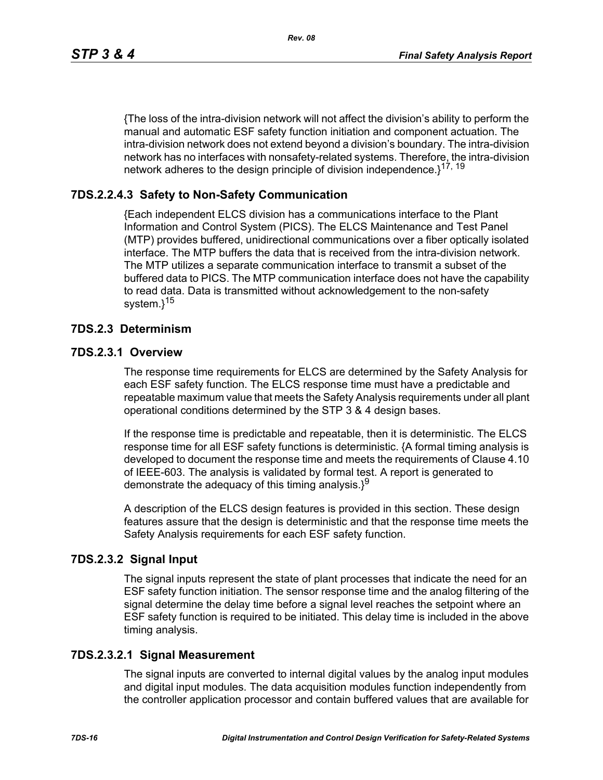*Rev. 08*

{The loss of the intra-division network will not affect the division's ability to perform the manual and automatic ESF safety function initiation and component actuation. The intra-division network does not extend beyond a division's boundary. The intra-division network has no interfaces with nonsafety-related systems. Therefore, the intra-division network adheres to the design principle of division independence.<sup>17, 19</sup>

# **7DS.2.2.4.3 Safety to Non-Safety Communication**

{Each independent ELCS division has a communications interface to the Plant Information and Control System (PICS). The ELCS Maintenance and Test Panel (MTP) provides buffered, unidirectional communications over a fiber optically isolated interface. The MTP buffers the data that is received from the intra-division network. The MTP utilizes a separate communication interface to transmit a subset of the buffered data to PICS. The MTP communication interface does not have the capability to read data. Data is transmitted without acknowledgement to the non-safety system.}<sup>15</sup>

### **7DS.2.3 Determinism**

### **7DS.2.3.1 Overview**

The response time requirements for ELCS are determined by the Safety Analysis for each ESF safety function. The ELCS response time must have a predictable and repeatable maximum value that meets the Safety Analysis requirements under all plant operational conditions determined by the STP 3 & 4 design bases.

If the response time is predictable and repeatable, then it is deterministic. The ELCS response time for all ESF safety functions is deterministic. {A formal timing analysis is developed to document the response time and meets the requirements of Clause 4.10 of IEEE-603. The analysis is validated by formal test. A report is generated to demonstrate the adequacy of this timing analysis. $3^9$ 

A description of the ELCS design features is provided in this section. These design features assure that the design is deterministic and that the response time meets the Safety Analysis requirements for each ESF safety function.

# **7DS.2.3.2 Signal Input**

The signal inputs represent the state of plant processes that indicate the need for an ESF safety function initiation. The sensor response time and the analog filtering of the signal determine the delay time before a signal level reaches the setpoint where an ESF safety function is required to be initiated. This delay time is included in the above timing analysis.

### **7DS.2.3.2.1 Signal Measurement**

The signal inputs are converted to internal digital values by the analog input modules and digital input modules. The data acquisition modules function independently from the controller application processor and contain buffered values that are available for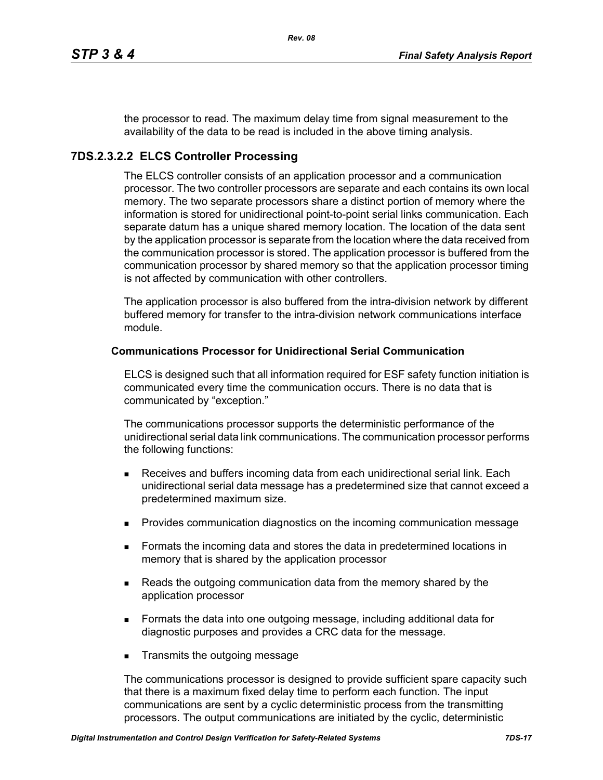the processor to read. The maximum delay time from signal measurement to the availability of the data to be read is included in the above timing analysis.

# **7DS.2.3.2.2 ELCS Controller Processing**

The ELCS controller consists of an application processor and a communication processor. The two controller processors are separate and each contains its own local memory. The two separate processors share a distinct portion of memory where the information is stored for unidirectional point-to-point serial links communication. Each separate datum has a unique shared memory location. The location of the data sent by the application processor is separate from the location where the data received from the communication processor is stored. The application processor is buffered from the communication processor by shared memory so that the application processor timing is not affected by communication with other controllers.

The application processor is also buffered from the intra-division network by different buffered memory for transfer to the intra-division network communications interface module.

#### **Communications Processor for Unidirectional Serial Communication**

ELCS is designed such that all information required for ESF safety function initiation is communicated every time the communication occurs. There is no data that is communicated by "exception."

The communications processor supports the deterministic performance of the unidirectional serial data link communications. The communication processor performs the following functions:

- Receives and buffers incoming data from each unidirectional serial link. Each unidirectional serial data message has a predetermined size that cannot exceed a predetermined maximum size.
- **Provides communication diagnostics on the incoming communication message**
- **Formats the incoming data and stores the data in predetermined locations in** memory that is shared by the application processor
- **Reads the outgoing communication data from the memory shared by the** application processor
- Formats the data into one outgoing message, including additional data for diagnostic purposes and provides a CRC data for the message.
- **Transmits the outgoing message**

The communications processor is designed to provide sufficient spare capacity such that there is a maximum fixed delay time to perform each function. The input communications are sent by a cyclic deterministic process from the transmitting processors. The output communications are initiated by the cyclic, deterministic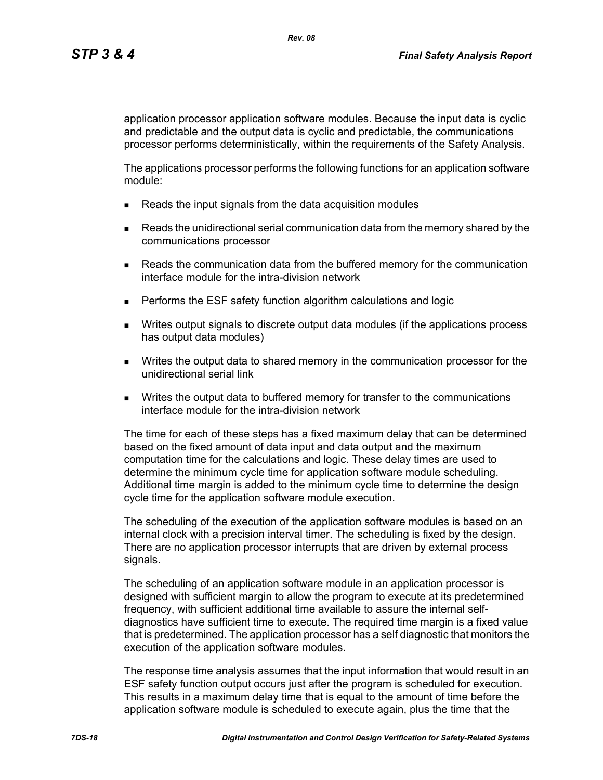application processor application software modules. Because the input data is cyclic and predictable and the output data is cyclic and predictable, the communications processor performs deterministically, within the requirements of the Safety Analysis.

The applications processor performs the following functions for an application software module:

- Reads the input signals from the data acquisition modules
- **Reads the unidirectional serial communication data from the memory shared by the** communications processor
- **Reads the communication data from the buffered memory for the communication** interface module for the intra-division network
- **Performs the ESF safety function algorithm calculations and logic**
- Writes output signals to discrete output data modules (if the applications process has output data modules)
- Writes the output data to shared memory in the communication processor for the unidirectional serial link
- **Writes the output data to buffered memory for transfer to the communications** interface module for the intra-division network

The time for each of these steps has a fixed maximum delay that can be determined based on the fixed amount of data input and data output and the maximum computation time for the calculations and logic. These delay times are used to determine the minimum cycle time for application software module scheduling. Additional time margin is added to the minimum cycle time to determine the design cycle time for the application software module execution.

The scheduling of the execution of the application software modules is based on an internal clock with a precision interval timer. The scheduling is fixed by the design. There are no application processor interrupts that are driven by external process signals.

The scheduling of an application software module in an application processor is designed with sufficient margin to allow the program to execute at its predetermined frequency, with sufficient additional time available to assure the internal selfdiagnostics have sufficient time to execute. The required time margin is a fixed value that is predetermined. The application processor has a self diagnostic that monitors the execution of the application software modules.

The response time analysis assumes that the input information that would result in an ESF safety function output occurs just after the program is scheduled for execution. This results in a maximum delay time that is equal to the amount of time before the application software module is scheduled to execute again, plus the time that the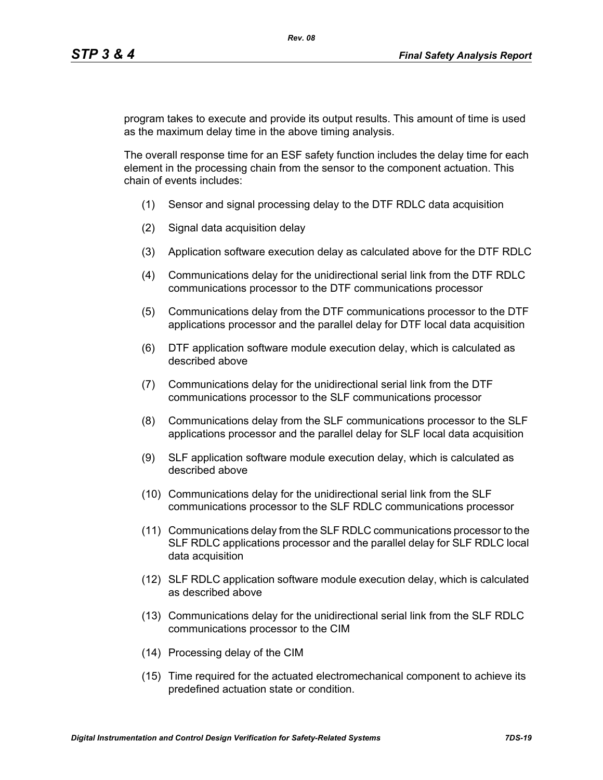program takes to execute and provide its output results. This amount of time is used as the maximum delay time in the above timing analysis.

The overall response time for an ESF safety function includes the delay time for each element in the processing chain from the sensor to the component actuation. This chain of events includes:

- (1) Sensor and signal processing delay to the DTF RDLC data acquisition
- (2) Signal data acquisition delay
- (3) Application software execution delay as calculated above for the DTF RDLC
- (4) Communications delay for the unidirectional serial link from the DTF RDLC communications processor to the DTF communications processor
- (5) Communications delay from the DTF communications processor to the DTF applications processor and the parallel delay for DTF local data acquisition
- (6) DTF application software module execution delay, which is calculated as described above
- (7) Communications delay for the unidirectional serial link from the DTF communications processor to the SLF communications processor
- (8) Communications delay from the SLF communications processor to the SLF applications processor and the parallel delay for SLF local data acquisition
- (9) SLF application software module execution delay, which is calculated as described above
- (10) Communications delay for the unidirectional serial link from the SLF communications processor to the SLF RDLC communications processor
- (11) Communications delay from the SLF RDLC communications processor to the SLF RDLC applications processor and the parallel delay for SLF RDLC local data acquisition
- (12) SLF RDLC application software module execution delay, which is calculated as described above
- (13) Communications delay for the unidirectional serial link from the SLF RDLC communications processor to the CIM
- (14) Processing delay of the CIM
- (15) Time required for the actuated electromechanical component to achieve its predefined actuation state or condition.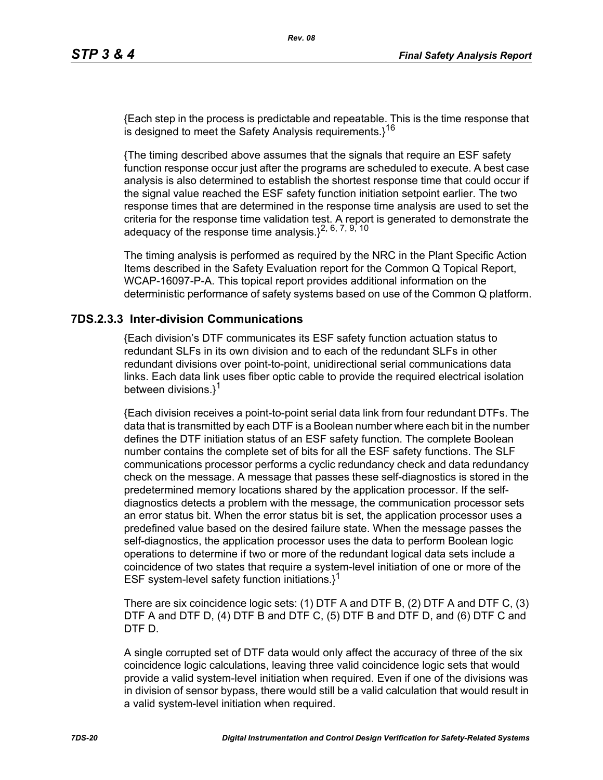{Each step in the process is predictable and repeatable. This is the time response that is designed to meet the Safety Analysis requirements. $3^{16}$ 

{The timing described above assumes that the signals that require an ESF safety function response occur just after the programs are scheduled to execute. A best case analysis is also determined to establish the shortest response time that could occur if the signal value reached the ESF safety function initiation setpoint earlier. The two response times that are determined in the response time analysis are used to set the criteria for the response time validation test. A report is generated to demonstrate the adequacy of the response time analysis. $1^{2, 6, 7, 9, 10}$ 

The timing analysis is performed as required by the NRC in the Plant Specific Action Items described in the Safety Evaluation report for the Common Q Topical Report, WCAP-16097-P-A. This topical report provides additional information on the deterministic performance of safety systems based on use of the Common Q platform.

### **7DS.2.3.3 Inter-division Communications**

{Each division's DTF communicates its ESF safety function actuation status to redundant SLFs in its own division and to each of the redundant SLFs in other redundant divisions over point-to-point, unidirectional serial communications data links. Each data link uses fiber optic cable to provide the required electrical isolation between divisions.}<sup>1</sup>

{Each division receives a point-to-point serial data link from four redundant DTFs. The data that is transmitted by each DTF is a Boolean number where each bit in the number defines the DTF initiation status of an ESF safety function. The complete Boolean number contains the complete set of bits for all the ESF safety functions. The SLF communications processor performs a cyclic redundancy check and data redundancy check on the message. A message that passes these self-diagnostics is stored in the predetermined memory locations shared by the application processor. If the selfdiagnostics detects a problem with the message, the communication processor sets an error status bit. When the error status bit is set, the application processor uses a predefined value based on the desired failure state. When the message passes the self-diagnostics, the application processor uses the data to perform Boolean logic operations to determine if two or more of the redundant logical data sets include a coincidence of two states that require a system-level initiation of one or more of the ESF system-level safety function initiations. $1^1$ 

There are six coincidence logic sets: (1) DTF A and DTF B, (2) DTF A and DTF C, (3) DTF A and DTF D, (4) DTF B and DTF C, (5) DTF B and DTF D, and (6) DTF C and DTF D.

A single corrupted set of DTF data would only affect the accuracy of three of the six coincidence logic calculations, leaving three valid coincidence logic sets that would provide a valid system-level initiation when required. Even if one of the divisions was in division of sensor bypass, there would still be a valid calculation that would result in a valid system-level initiation when required.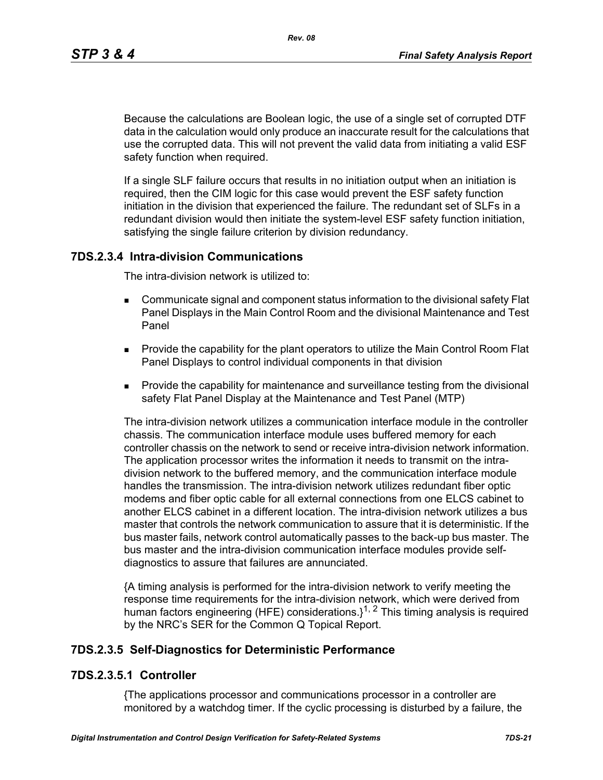*Rev. 08*

Because the calculations are Boolean logic, the use of a single set of corrupted DTF data in the calculation would only produce an inaccurate result for the calculations that use the corrupted data. This will not prevent the valid data from initiating a valid ESF safety function when required.

If a single SLF failure occurs that results in no initiation output when an initiation is required, then the CIM logic for this case would prevent the ESF safety function initiation in the division that experienced the failure. The redundant set of SLFs in a redundant division would then initiate the system-level ESF safety function initiation, satisfying the single failure criterion by division redundancy.

### **7DS.2.3.4 Intra-division Communications**

The intra-division network is utilized to:

- Communicate signal and component status information to the divisional safety Flat Panel Displays in the Main Control Room and the divisional Maintenance and Test Panel
- **Provide the capability for the plant operators to utilize the Main Control Room Flat** Panel Displays to control individual components in that division
- **Provide the capability for maintenance and surveillance testing from the divisional** safety Flat Panel Display at the Maintenance and Test Panel (MTP)

The intra-division network utilizes a communication interface module in the controller chassis. The communication interface module uses buffered memory for each controller chassis on the network to send or receive intra-division network information. The application processor writes the information it needs to transmit on the intradivision network to the buffered memory, and the communication interface module handles the transmission. The intra-division network utilizes redundant fiber optic modems and fiber optic cable for all external connections from one ELCS cabinet to another ELCS cabinet in a different location. The intra-division network utilizes a bus master that controls the network communication to assure that it is deterministic. If the bus master fails, network control automatically passes to the back-up bus master. The bus master and the intra-division communication interface modules provide selfdiagnostics to assure that failures are annunciated.

{A timing analysis is performed for the intra-division network to verify meeting the response time requirements for the intra-division network, which were derived from human factors engineering (HFE) considerations. $1^{1, 2}$  This timing analysis is required by the NRC's SER for the Common Q Topical Report.

### **7DS.2.3.5 Self-Diagnostics for Deterministic Performance**

### **7DS.2.3.5.1 Controller**

{The applications processor and communications processor in a controller are monitored by a watchdog timer. If the cyclic processing is disturbed by a failure, the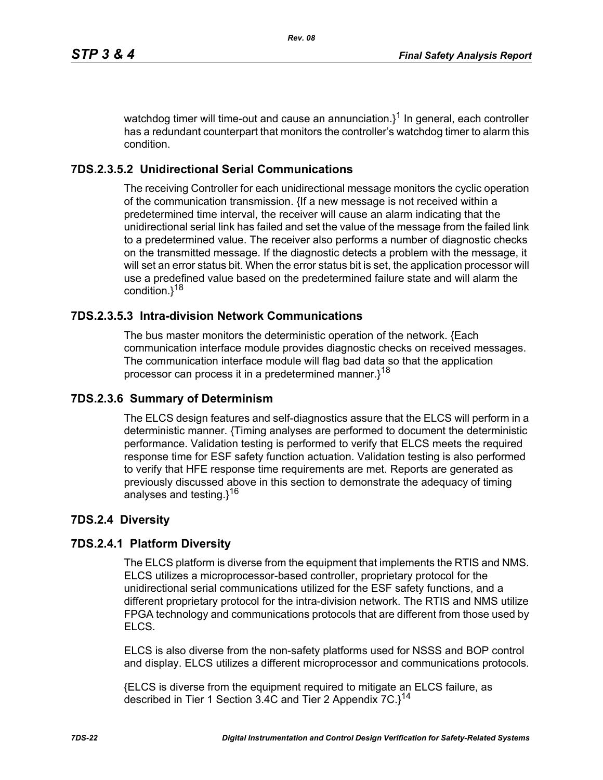watchdog timer will time-out and cause an annunciation. $3^1$  In general, each controller has a redundant counterpart that monitors the controller's watchdog timer to alarm this condition.

# **7DS.2.3.5.2 Unidirectional Serial Communications**

The receiving Controller for each unidirectional message monitors the cyclic operation of the communication transmission. {If a new message is not received within a predetermined time interval, the receiver will cause an alarm indicating that the unidirectional serial link has failed and set the value of the message from the failed link to a predetermined value. The receiver also performs a number of diagnostic checks on the transmitted message. If the diagnostic detects a problem with the message, it will set an error status bit. When the error status bit is set, the application processor will use a predefined value based on the predetermined failure state and will alarm the condition.}<sup>18</sup>

# **7DS.2.3.5.3 Intra-division Network Communications**

The bus master monitors the deterministic operation of the network. {Each communication interface module provides diagnostic checks on received messages. The communication interface module will flag bad data so that the application processor can process it in a predetermined manner.}<sup>18</sup>

### **7DS.2.3.6 Summary of Determinism**

The ELCS design features and self-diagnostics assure that the ELCS will perform in a deterministic manner. {Timing analyses are performed to document the deterministic performance. Validation testing is performed to verify that ELCS meets the required response time for ESF safety function actuation. Validation testing is also performed to verify that HFE response time requirements are met. Reports are generated as previously discussed above in this section to demonstrate the adequacy of timing analyses and testing.}<sup>16</sup>

# **7DS.2.4 Diversity**

# **7DS.2.4.1 Platform Diversity**

The ELCS platform is diverse from the equipment that implements the RTIS and NMS. ELCS utilizes a microprocessor-based controller, proprietary protocol for the unidirectional serial communications utilized for the ESF safety functions, and a different proprietary protocol for the intra-division network. The RTIS and NMS utilize FPGA technology and communications protocols that are different from those used by ELCS.

ELCS is also diverse from the non-safety platforms used for NSSS and BOP control and display. ELCS utilizes a different microprocessor and communications protocols.

{ELCS is diverse from the equipment required to mitigate an ELCS failure, as described in Tier 1 Section 3.4C and Tier 2 Appendix  $7C$ . $3^{14}$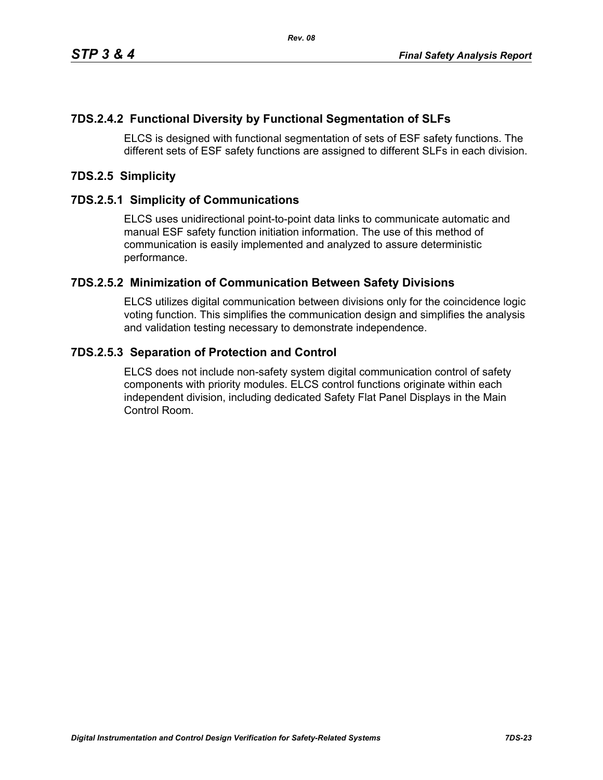# **7DS.2.4.2 Functional Diversity by Functional Segmentation of SLFs**

ELCS is designed with functional segmentation of sets of ESF safety functions. The different sets of ESF safety functions are assigned to different SLFs in each division.

## **7DS.2.5 Simplicity**

### **7DS.2.5.1 Simplicity of Communications**

ELCS uses unidirectional point-to-point data links to communicate automatic and manual ESF safety function initiation information. The use of this method of communication is easily implemented and analyzed to assure deterministic performance.

### **7DS.2.5.2 Minimization of Communication Between Safety Divisions**

ELCS utilizes digital communication between divisions only for the coincidence logic voting function. This simplifies the communication design and simplifies the analysis and validation testing necessary to demonstrate independence.

### **7DS.2.5.3 Separation of Protection and Control**

ELCS does not include non-safety system digital communication control of safety components with priority modules. ELCS control functions originate within each independent division, including dedicated Safety Flat Panel Displays in the Main Control Room.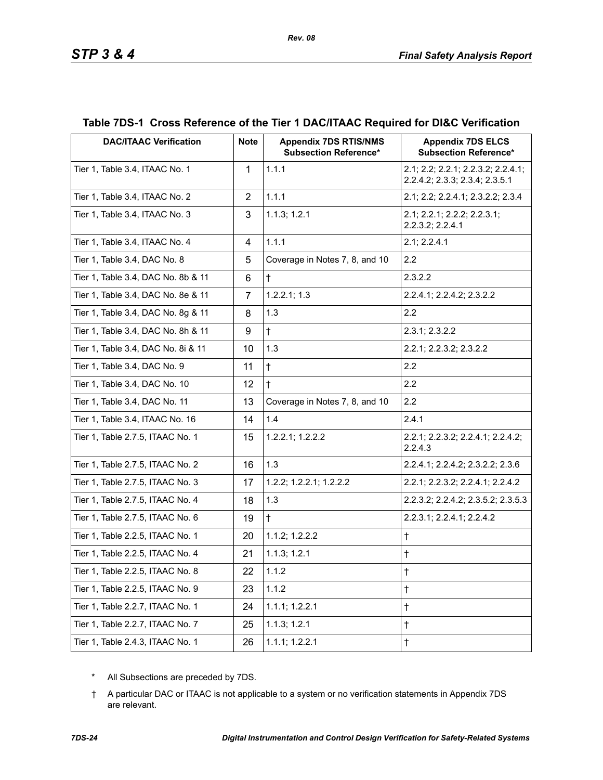| <b>DAC/ITAAC Verification</b>      | <b>Note</b>    | <b>Appendix 7DS RTIS/NMS</b><br><b>Subsection Reference*</b> | <b>Appendix 7DS ELCS</b><br><b>Subsection Reference*</b>             |
|------------------------------------|----------------|--------------------------------------------------------------|----------------------------------------------------------------------|
| Tier 1, Table 3.4, ITAAC No. 1     | $\mathbf{1}$   | 1.1.1                                                        | 2.1; 2.2; 2.2.1; 2.2.3.2; 2.2.4.1;<br>2.2.4.2; 2.3.3; 2.3.4; 2.3.5.1 |
| Tier 1, Table 3.4, ITAAC No. 2     | $\overline{2}$ | 1.1.1                                                        | 2.1; 2.2; 2.2.4.1; 2.3.2.2; 2.3.4                                    |
| Tier 1, Table 3.4, ITAAC No. 3     | 3              | 1.1.3; 1.2.1                                                 | 2.1; 2.2.1; 2.2.2; 2.2.3.1;<br>2.2.3.2; 2.2.4.1                      |
| Tier 1, Table 3.4, ITAAC No. 4     | 4              | 1.1.1                                                        | 2.1; 2.2.4.1                                                         |
| Tier 1, Table 3.4, DAC No. 8       | 5              | Coverage in Notes 7, 8, and 10                               | 2.2                                                                  |
| Tier 1, Table 3.4, DAC No. 8b & 11 | 6              | $\ddagger$                                                   | 2.3.2.2                                                              |
| Tier 1, Table 3.4, DAC No. 8e & 11 | $\overline{7}$ | 1.2.2.1; 1.3                                                 | 2.2.4.1; 2.2.4.2; 2.3.2.2                                            |
| Tier 1, Table 3.4, DAC No. 8g & 11 | 8              | 1.3                                                          | 2.2                                                                  |
| Tier 1, Table 3.4, DAC No. 8h & 11 | 9              | $\ddagger$                                                   | 2.3.1; 2.3.2.2                                                       |
| Tier 1, Table 3.4, DAC No. 8i & 11 | 10             | 1.3                                                          | 2.2.1; 2.2.3.2; 2.3.2.2                                              |
| Tier 1, Table 3.4, DAC No. 9       | 11             | $\ddagger$                                                   | 2.2                                                                  |
| Tier 1, Table 3.4, DAC No. 10      | 12             | $\ddagger$                                                   | 2.2                                                                  |
| Tier 1, Table 3.4, DAC No. 11      | 13             | Coverage in Notes 7, 8, and 10                               | 2.2                                                                  |
| Tier 1, Table 3.4, ITAAC No. 16    | 14             | 1.4                                                          | 2.4.1                                                                |
| Tier 1, Table 2.7.5, ITAAC No. 1   | 15             | 1.2.2.1; 1.2.2.2                                             | 2.2.1; 2.2.3.2; 2.2.4.1; 2.2.4.2;<br>2.2.4.3                         |
| Tier 1, Table 2.7.5, ITAAC No. 2   | 16             | 1.3                                                          | 2.2.4.1; 2.2.4.2; 2.3.2.2; 2.3.6                                     |
| Tier 1, Table 2.7.5, ITAAC No. 3   | 17             | 1.2.2; 1.2.2.1; 1.2.2.2                                      | 2.2.1; 2.2.3.2; 2.2.4.1; 2.2.4.2                                     |
| Tier 1, Table 2.7.5, ITAAC No. 4   | 18             | 1.3                                                          | 2.2.3.2; 2.2.4.2; 2.3.5.2; 2.3.5.3                                   |
| Tier 1, Table 2.7.5, ITAAC No. 6   | 19             | $\ddagger$                                                   | 2.2.3.1; 2.2.4.1; 2.2.4.2                                            |
| Tier 1, Table 2.2.5, ITAAC No. 1   | 20             | 1.1.2; 1.2.2.2                                               | $\ddagger$                                                           |
| Tier 1, Table 2.2.5, ITAAC No. 4   | 21             | 1.1.3; 1.2.1                                                 | $\ddagger$                                                           |
| Tier 1, Table 2.2.5, ITAAC No. 8   | 22             | 1.1.2                                                        | $^\dagger$                                                           |
| Tier 1, Table 2.2.5, ITAAC No. 9   | 23             | 1.1.2                                                        | $^\dagger$                                                           |
| Tier 1, Table 2.2.7, ITAAC No. 1   | 24             | 1.1.1; 1.2.2.1                                               | $\ddagger$                                                           |
| Tier 1, Table 2.2.7, ITAAC No. 7   | 25             | 1.1.3; 1.2.1                                                 | $\dagger$                                                            |
| Tier 1, Table 2.4.3, ITAAC No. 1   | 26             | 1.1.1; 1.2.2.1                                               | $^\dagger$                                                           |

# **Table 7DS-1 Cross Reference of the Tier 1 DAC/ITAAC Required for DI&C Verification**

*Rev. 08*

\* All Subsections are preceded by 7DS.

† A particular DAC or ITAAC is not applicable to a system or no verification statements in Appendix 7DS are relevant.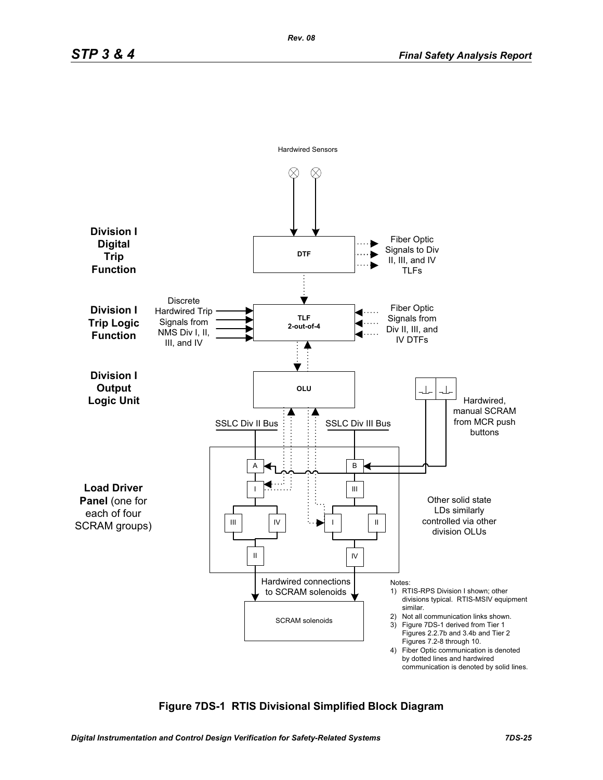

### **Figure 7DS-1 RTIS Divisional Simplified Block Diagram**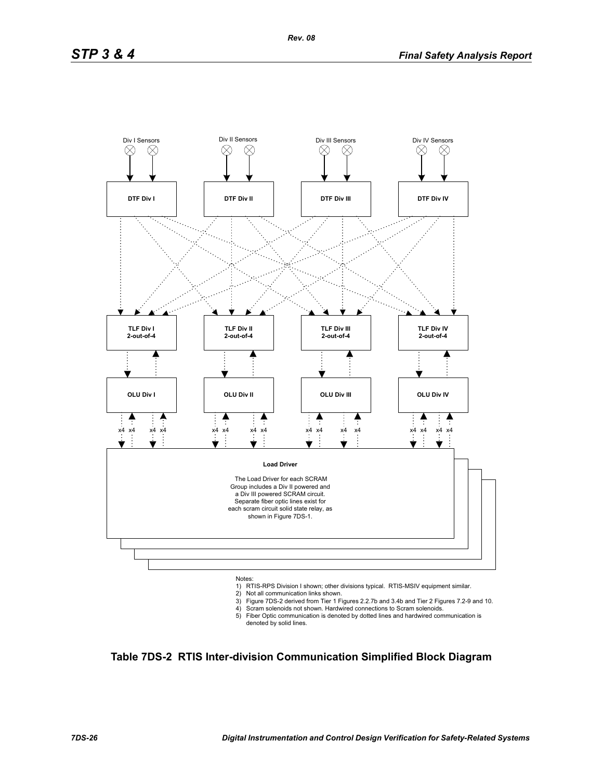

- 
- 2) Not all communication links shown.
- 3) Figure 7DS-2 derived from Tier 1 Figures 2.2.7b and 3.4b and Tier 2 Figures 7.2-9 and 10. 4) Scram solenoids not shown. Hardwired connections to Scram solenoids.
- 5) Fiber Optic communication is denoted by dotted lines and hardwired communication is denoted by solid lines.

**Table 7DS-2 RTIS Inter-division Communication Simplified Block Diagram**

*Rev. 08*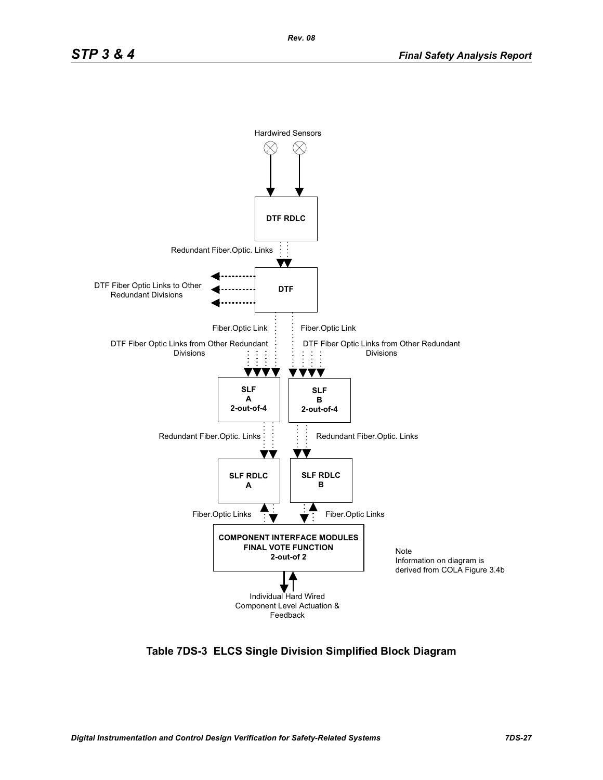

**Table 7DS-3 ELCS Single Division Simplified Block Diagram**